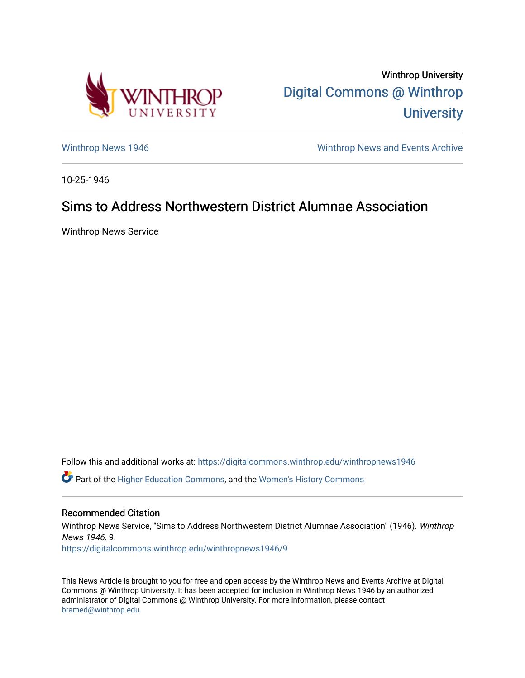

Winthrop University [Digital Commons @ Winthrop](https://digitalcommons.winthrop.edu/)  **University** 

[Winthrop News 1946](https://digitalcommons.winthrop.edu/winthropnews1946) Minthrop News and Events Archive

10-25-1946

## Sims to Address Northwestern District Alumnae Association

Winthrop News Service

Follow this and additional works at: [https://digitalcommons.winthrop.edu/winthropnews1946](https://digitalcommons.winthrop.edu/winthropnews1946?utm_source=digitalcommons.winthrop.edu%2Fwinthropnews1946%2F9&utm_medium=PDF&utm_campaign=PDFCoverPages)  Part of the [Higher Education Commons,](http://network.bepress.com/hgg/discipline/1245?utm_source=digitalcommons.winthrop.edu%2Fwinthropnews1946%2F9&utm_medium=PDF&utm_campaign=PDFCoverPages) and the [Women's History Commons](http://network.bepress.com/hgg/discipline/507?utm_source=digitalcommons.winthrop.edu%2Fwinthropnews1946%2F9&utm_medium=PDF&utm_campaign=PDFCoverPages) 

## Recommended Citation

Winthrop News Service, "Sims to Address Northwestern District Alumnae Association" (1946). Winthrop News 1946. 9. [https://digitalcommons.winthrop.edu/winthropnews1946/9](https://digitalcommons.winthrop.edu/winthropnews1946/9?utm_source=digitalcommons.winthrop.edu%2Fwinthropnews1946%2F9&utm_medium=PDF&utm_campaign=PDFCoverPages) 

This News Article is brought to you for free and open access by the Winthrop News and Events Archive at Digital Commons @ Winthrop University. It has been accepted for inclusion in Winthrop News 1946 by an authorized administrator of Digital Commons @ Winthrop University. For more information, please contact [bramed@winthrop.edu.](mailto:bramed@winthrop.edu)